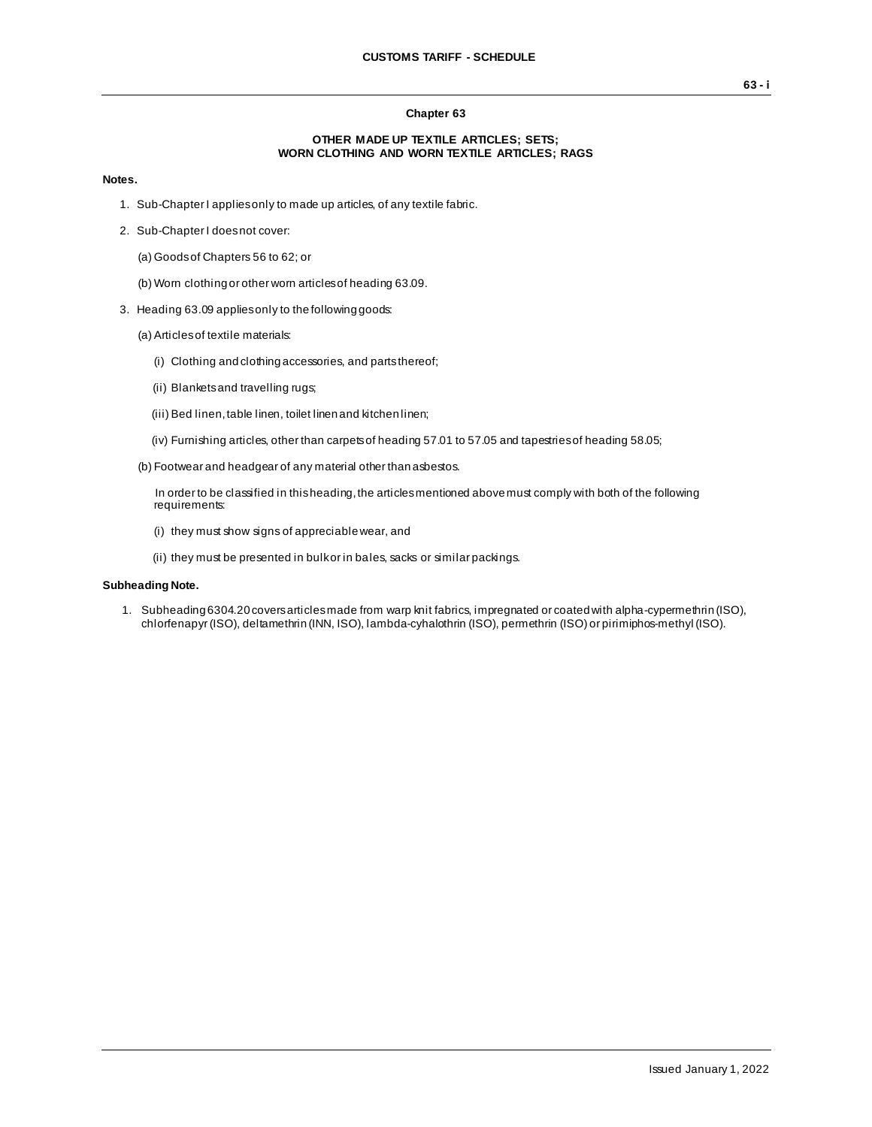## **Chapter 63**

### **OTHER MADE UP TEXTILE ARTICLES; SETS; WORN CLOTHING AND WORN TEXTILE ARTICLES; RAGS**

#### **Notes.**

- 1. Sub-Chapter I applies only to made up articles, of any textile fabric.
- 2. Sub-Chapter I does not cover:
	- (a) Goods of Chapters 56 to 62; or
	- (b) Worn clothing or other worn articles of heading 63.09.
- 3. Heading 63.09 applies only to the following goods:
	- (a) Articles of textile materials:
		- (i) Clothing and clothing accessories, and parts thereof;
		- (ii) Blankets and travelling rugs;
		- (iii) Bed linen, table linen, toilet linen and kitchen linen;
		- (iv) Furnishing articles, other than carpets of heading 57.01 to 57.05 and tapestries of heading 58.05;
	- (b) Footwear and headgear of any material other than asbestos.

In order to be classified in this heading, the articles mentioned above must comply with both of the following requirements:

- (i) they must show signs of appreciable wear, and
- (ii) they must be presented in bulk or in bales, sacks or similar packings.

## **Subheading Note.**

1. Subheading 6304.20 covers articles made from warp knit fabrics, impregnated or coated with alpha-cypermethrin (ISO), chlorfenapyr (ISO), deltamethrin (INN, ISO), lambda-cyhalothrin (ISO), permethrin (ISO) or pirimiphos-methyl (ISO).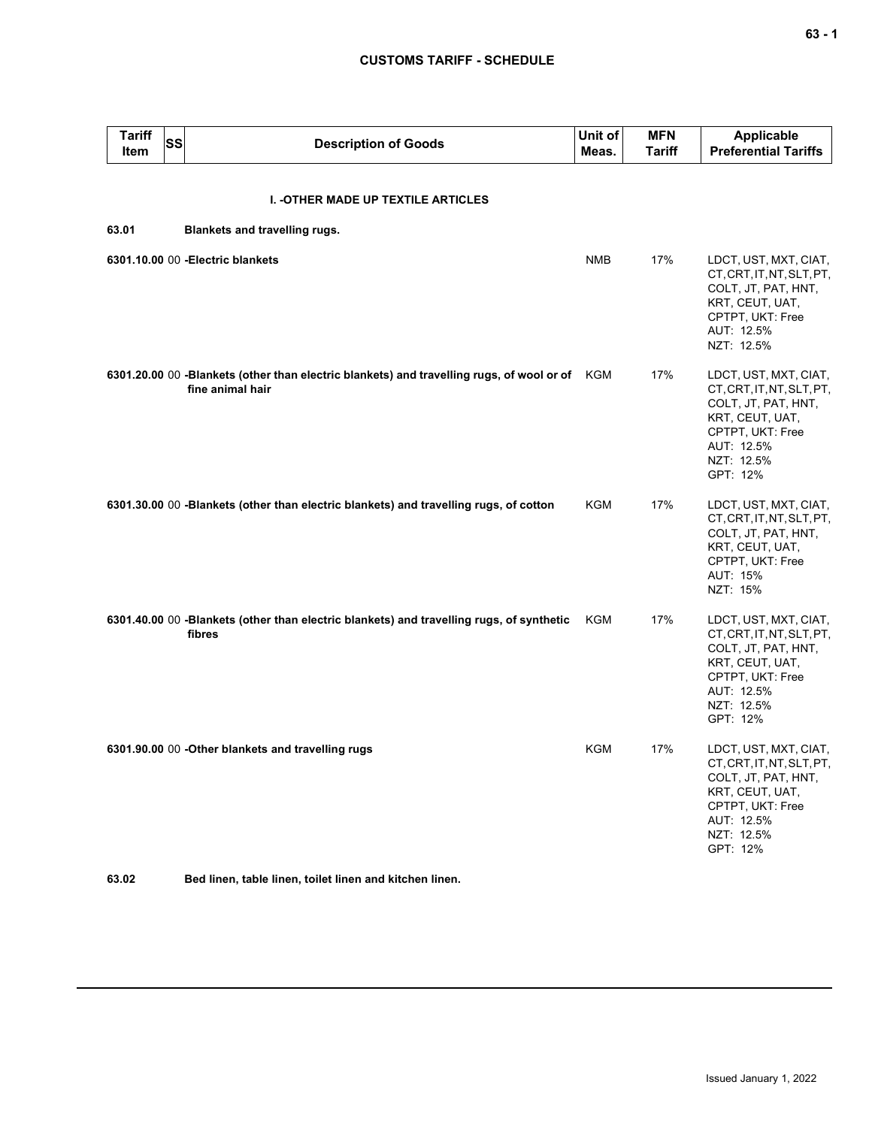# **CUSTOMS TARIFF - SCHEDULE**

| <b>Tariff</b><br>Item | SS | <b>Description of Goods</b>                                                                                       | Unit of<br>Meas. | <b>MFN</b><br><b>Tariff</b> | <b>Applicable</b><br><b>Preferential Tariffs</b>                                                                                                         |
|-----------------------|----|-------------------------------------------------------------------------------------------------------------------|------------------|-----------------------------|----------------------------------------------------------------------------------------------------------------------------------------------------------|
|                       |    | I. - OTHER MADE UP TEXTILE ARTICLES                                                                               |                  |                             |                                                                                                                                                          |
| 63.01                 |    | Blankets and travelling rugs.                                                                                     |                  |                             |                                                                                                                                                          |
|                       |    | 6301.10.00 00 - Electric blankets                                                                                 | <b>NMB</b>       | 17%                         | LDCT, UST, MXT, CIAT,<br>CT, CRT, IT, NT, SLT, PT,<br>COLT, JT, PAT, HNT,<br>KRT, CEUT, UAT,<br>CPTPT, UKT: Free<br>AUT: 12.5%<br>NZT: 12.5%             |
|                       |    | 6301.20.00 00 -Blankets (other than electric blankets) and travelling rugs, of wool or of KGM<br>fine animal hair |                  | 17%                         | LDCT, UST, MXT, CIAT,<br>CT, CRT, IT, NT, SLT, PT,<br>COLT, JT, PAT, HNT,<br>KRT, CEUT, UAT,<br>CPTPT, UKT: Free<br>AUT: 12.5%<br>NZT: 12.5%<br>GPT: 12% |
|                       |    | 6301.30.00 00 -Blankets (other than electric blankets) and travelling rugs, of cotton                             | KGM              | 17%                         | LDCT, UST, MXT, CIAT,<br>CT, CRT, IT, NT, SLT, PT,<br>COLT, JT, PAT, HNT,<br>KRT, CEUT, UAT,<br>CPTPT, UKT: Free<br>AUT: 15%<br>NZT: 15%                 |
|                       |    | 6301.40.00 00 -Blankets (other than electric blankets) and travelling rugs, of synthetic<br>fibres                | KGM              | 17%                         | LDCT, UST, MXT, CIAT,<br>CT, CRT, IT, NT, SLT, PT,<br>COLT, JT, PAT, HNT,<br>KRT, CEUT, UAT,<br>CPTPT, UKT: Free<br>AUT: 12.5%<br>NZT: 12.5%<br>GPT: 12% |
|                       |    | 6301.90.00 00 - Other blankets and travelling rugs                                                                | KGM              | 17%                         | LDCT, UST, MXT, CIAT,<br>CT, CRT, IT, NT, SLT, PT,<br>COLT, JT, PAT, HNT,<br>KRT, CEUT, UAT,<br>CPTPT, UKT: Free<br>AUT: 12.5%<br>NZT: 12.5%<br>GPT: 12% |

**63.02 Bed linen, table linen, toilet linen and kitchen linen.**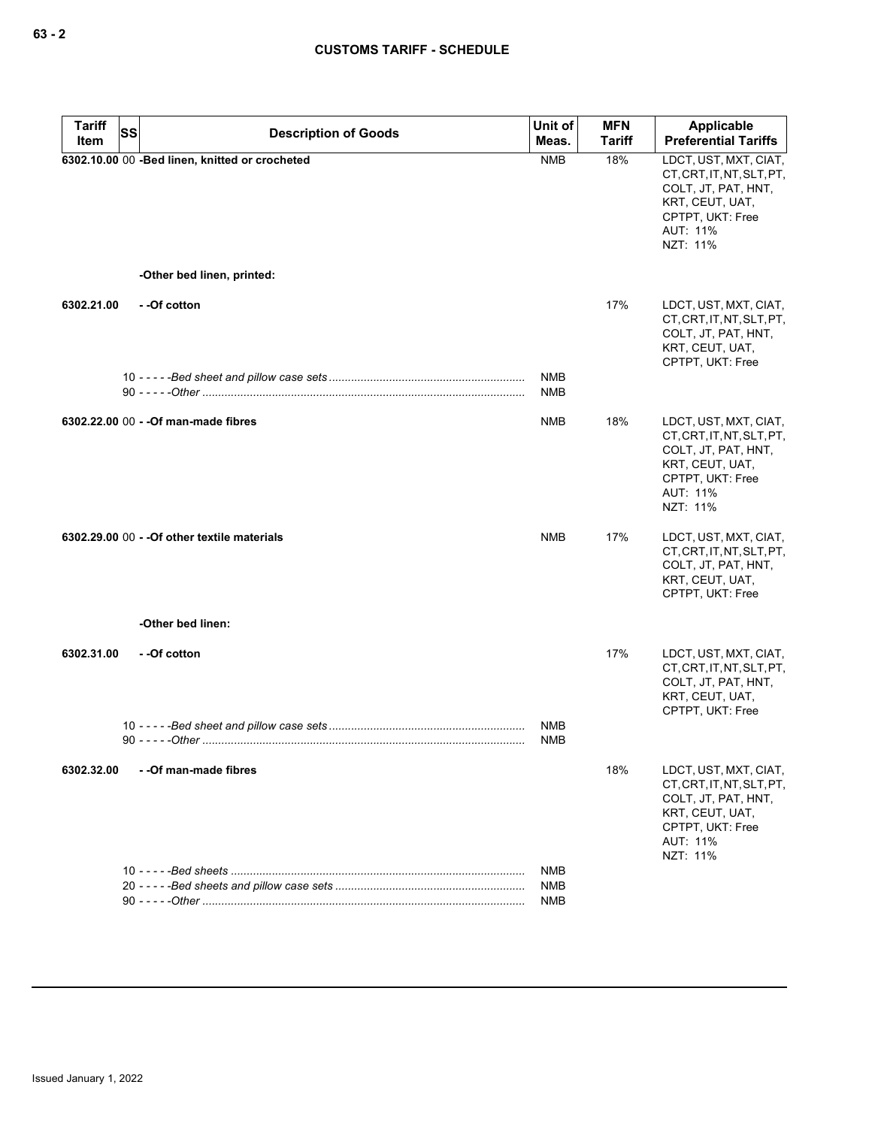| <b>Tariff</b><br>Item | <b>SS</b> | <b>Description of Goods</b>                    | Unit of<br>Meas.         | <b>MFN</b><br><b>Tariff</b> | Applicable<br><b>Preferential Tariffs</b>                                                                                                |
|-----------------------|-----------|------------------------------------------------|--------------------------|-----------------------------|------------------------------------------------------------------------------------------------------------------------------------------|
|                       |           | 6302.10.00 00 -Bed linen, knitted or crocheted | <b>NMB</b>               | 18%                         | LDCT, UST, MXT, CIAT,<br>CT, CRT, IT, NT, SLT, PT,<br>COLT, JT, PAT, HNT,<br>KRT, CEUT, UAT,<br>CPTPT, UKT: Free<br>AUT: 11%<br>NZT: 11% |
|                       |           | -Other bed linen, printed:                     |                          |                             |                                                                                                                                          |
| 6302.21.00            |           | --Of cotton                                    |                          | 17%                         | LDCT, UST, MXT, CIAT,<br>CT, CRT, IT, NT, SLT, PT,<br>COLT, JT, PAT, HNT,<br>KRT, CEUT, UAT,<br>CPTPT, UKT: Free                         |
|                       |           |                                                | <b>NMB</b><br><b>NMB</b> |                             |                                                                                                                                          |
|                       |           | 6302.22.00 00 - - Of man-made fibres           | <b>NMB</b>               | 18%                         | LDCT, UST, MXT, CIAT,<br>CT, CRT, IT, NT, SLT, PT,<br>COLT, JT, PAT, HNT,<br>KRT, CEUT, UAT,<br>CPTPT, UKT: Free<br>AUT: 11%<br>NZT: 11% |
|                       |           | 6302.29.00 00 - - Of other textile materials   | <b>NMB</b>               | 17%                         | LDCT, UST, MXT, CIAT,<br>CT, CRT, IT, NT, SLT, PT,<br>COLT, JT, PAT, HNT,<br>KRT, CEUT, UAT,<br>CPTPT, UKT: Free                         |
|                       |           | -Other bed linen:                              |                          |                             |                                                                                                                                          |
| 6302.31.00            |           | - -Of cotton                                   | NMB                      | 17%                         | LDCT, UST, MXT, CIAT,<br>CT, CRT, IT, NT, SLT, PT,<br>COLT, JT, PAT, HNT,<br>KRT, CEUT, UAT,<br>CPTPT, UKT: Free                         |
|                       |           |                                                | <b>NMB</b>               |                             |                                                                                                                                          |
| 6302.32.00            |           | - - Of man-made fibres                         |                          | 18%                         | LDCT, UST, MXT, CIAT,<br>CT, CRT, IT, NT, SLT, PT,<br>COLT, JT, PAT, HNT,<br>KRT, CEUT, UAT,<br>CPTPT, UKT: Free<br>AUT: 11%<br>NZT: 11% |
|                       |           |                                                | NMB                      |                             |                                                                                                                                          |
|                       |           |                                                | NMB<br>NMB               |                             |                                                                                                                                          |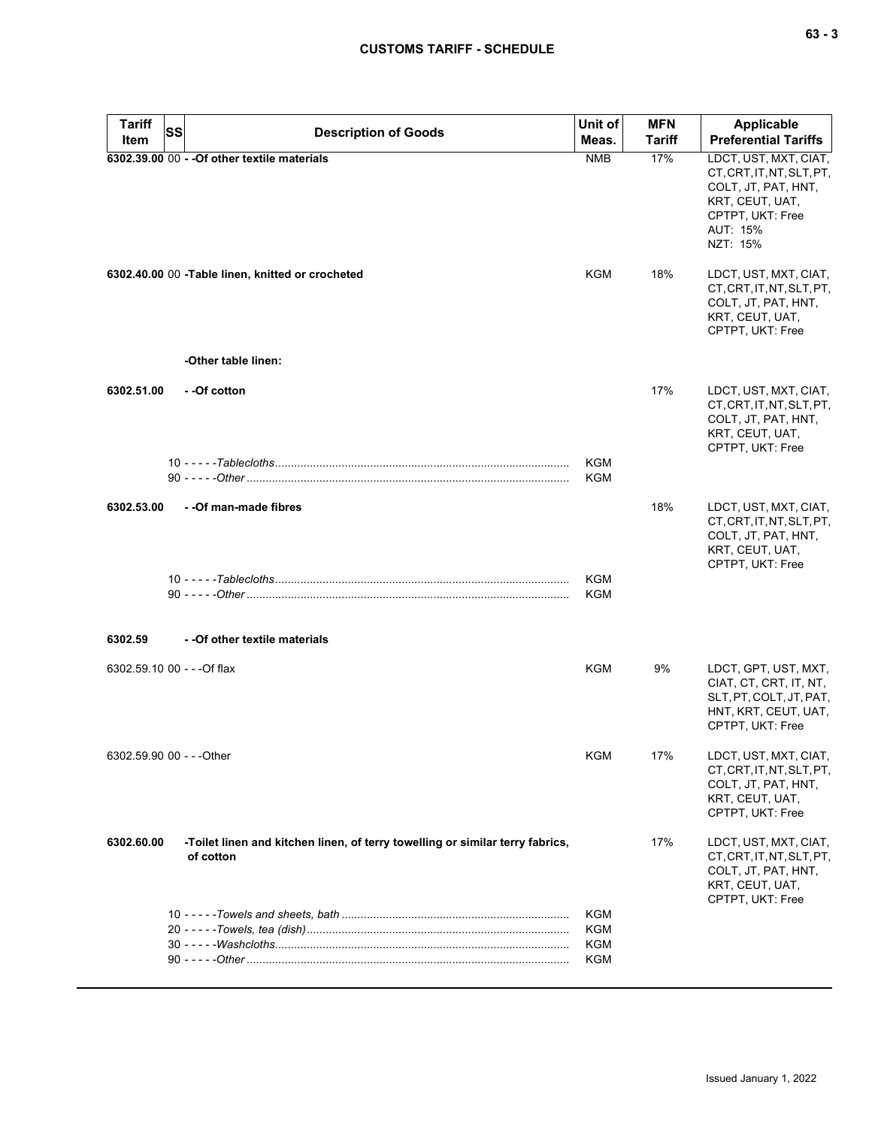| <b>Tariff</b><br>Item       | SS | <b>Description of Goods</b>                                                                | Unit of<br>Meas.         | <b>MFN</b><br>Tariff | Applicable<br><b>Preferential Tariffs</b>                                                                             |
|-----------------------------|----|--------------------------------------------------------------------------------------------|--------------------------|----------------------|-----------------------------------------------------------------------------------------------------------------------|
|                             |    | 6302.39.00 00 - - Of other textile materials                                               | <b>NMB</b>               | 17%                  | LDCT, UST, MXT, CIAT,                                                                                                 |
|                             |    |                                                                                            |                          |                      | CT, CRT, IT, NT, SLT, PT,<br>COLT, JT, PAT, HNT,<br>KRT, CEUT, UAT,<br>CPTPT, UKT: Free<br>AUT: 15%<br>NZT: 15%       |
|                             |    | 6302.40.00 00 - Table linen, knitted or crocheted                                          | KGM                      | 18%                  | LDCT, UST, MXT, CIAT,<br>CT, CRT, IT, NT, SLT, PT,<br>COLT, JT, PAT, HNT,<br>KRT, CEUT, UAT,<br>CPTPT, UKT: Free      |
|                             |    | -Other table linen:                                                                        |                          |                      |                                                                                                                       |
| 6302.51.00                  |    | --Of cotton                                                                                |                          | 17%                  | LDCT, UST, MXT, CIAT,<br>CT, CRT, IT, NT, SLT, PT,<br>COLT, JT, PAT, HNT,<br>KRT, CEUT, UAT,<br>CPTPT, UKT: Free      |
|                             |    |                                                                                            | <b>KGM</b><br><b>KGM</b> |                      |                                                                                                                       |
| 6302.53.00                  |    | - - Of man-made fibres                                                                     |                          | 18%                  | LDCT, UST, MXT, CIAT,<br>CT, CRT, IT, NT, SLT, PT,<br>COLT, JT, PAT, HNT,<br>KRT, CEUT, UAT,<br>CPTPT, UKT: Free      |
|                             |    |                                                                                            | KGM<br>KGM               |                      |                                                                                                                       |
| 6302.59                     |    | - - Of other textile materials                                                             |                          |                      |                                                                                                                       |
| 6302.59.10 00 - - - Of flax |    |                                                                                            | KGM                      | 9%                   | LDCT, GPT, UST, MXT,<br>CIAT, CT, CRT, IT, NT,<br>SLT, PT, COLT, JT, PAT,<br>HNT, KRT, CEUT, UAT,<br>CPTPT, UKT: Free |
| 6302.59.90 00 - - - Other   |    |                                                                                            | <b>KGM</b>               | 17%                  | LDCT, UST, MXT, CIAT,<br>CT, CRT, IT, NT, SLT, PT,<br>COLT, JT, PAT, HNT,<br>KRT, CEUT, UAT,<br>CPTPT, UKT: Free      |
| 6302.60.00                  |    | -Toilet linen and kitchen linen, of terry towelling or similar terry fabrics,<br>of cotton |                          | 17%                  | LDCT, UST, MXT, CIAT,<br>CT, CRT, IT, NT, SLT, PT,<br>COLT, JT, PAT, HNT,<br>KRT, CEUT, UAT,<br>CPTPT, UKT: Free      |
|                             |    |                                                                                            | KGM                      |                      |                                                                                                                       |
|                             |    |                                                                                            | KGM<br>KGM               |                      |                                                                                                                       |
|                             |    |                                                                                            | KGM                      |                      |                                                                                                                       |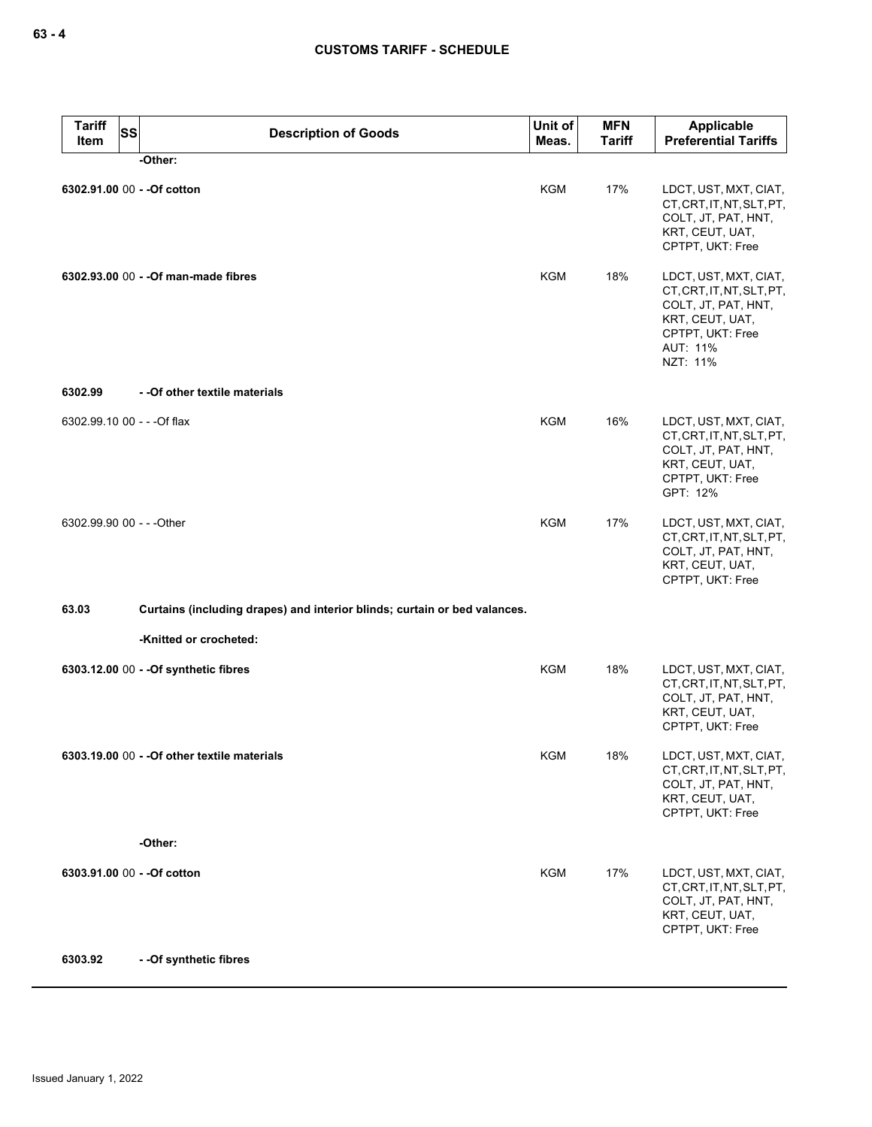| <b>Tariff</b><br>Item       | <b>SS</b><br><b>Description of Goods</b>                                  | Unit of<br>Meas. | <b>MFN</b><br><b>Tariff</b> | <b>Applicable</b><br><b>Preferential Tariffs</b>                                                                                         |
|-----------------------------|---------------------------------------------------------------------------|------------------|-----------------------------|------------------------------------------------------------------------------------------------------------------------------------------|
|                             | -Other:                                                                   |                  |                             |                                                                                                                                          |
|                             | 6302.91.00 00 - - Of cotton                                               | KGM              | 17%                         | LDCT, UST, MXT, CIAT,<br>CT, CRT, IT, NT, SLT, PT,<br>COLT, JT, PAT, HNT,<br>KRT, CEUT, UAT,<br>CPTPT, UKT: Free                         |
|                             | 6302.93.00 00 - - Of man-made fibres                                      | KGM              | 18%                         | LDCT, UST, MXT, CIAT,<br>CT, CRT, IT, NT, SLT, PT,<br>COLT, JT, PAT, HNT,<br>KRT, CEUT, UAT,<br>CPTPT, UKT: Free<br>AUT: 11%<br>NZT: 11% |
| 6302.99                     | - - Of other textile materials                                            |                  |                             |                                                                                                                                          |
| 6302.99.10 00 - - - Of flax |                                                                           | <b>KGM</b>       | 16%                         | LDCT, UST, MXT, CIAT,<br>CT, CRT, IT, NT, SLT, PT,<br>COLT, JT, PAT, HNT,<br>KRT, CEUT, UAT,<br>CPTPT, UKT: Free<br>GPT: 12%             |
| 6302.99.90 00 - - - Other   |                                                                           | <b>KGM</b>       | 17%                         | LDCT, UST, MXT, CIAT,<br>CT, CRT, IT, NT, SLT, PT,<br>COLT, JT, PAT, HNT,<br>KRT, CEUT, UAT,<br>CPTPT, UKT: Free                         |
| 63.03                       | Curtains (including drapes) and interior blinds; curtain or bed valances. |                  |                             |                                                                                                                                          |
|                             | -Knitted or crocheted:                                                    |                  |                             |                                                                                                                                          |
|                             | 6303.12.00 00 - - Of synthetic fibres                                     | KGM              | 18%                         | LDCT, UST, MXT, CIAT,<br>CT, CRT, IT, NT, SLT, PT,<br>COLT, JT, PAT, HNT,<br>KRT, CEUT, UAT,<br>CPTPT, UKT: Free                         |
|                             | 6303.19.00 00 - - Of other textile materials                              | <b>KGM</b>       | 18%                         | LDCT, UST, MXT, CIAT,<br>CT, CRT, IT, NT, SLT, PT,<br>COLT, JT, PAT, HNT,<br>KRT, CEUT, UAT,<br>CPTPT, UKT: Free                         |
|                             | -Other:                                                                   |                  |                             |                                                                                                                                          |
|                             | 6303.91.00 00 - - Of cotton                                               | KGM              | 17%                         | LDCT, UST, MXT, CIAT,<br>CT, CRT, IT, NT, SLT, PT,<br>COLT, JT, PAT, HNT,<br>KRT, CEUT, UAT,<br>CPTPT, UKT: Free                         |
| 6303.92                     | - - Of synthetic fibres                                                   |                  |                             |                                                                                                                                          |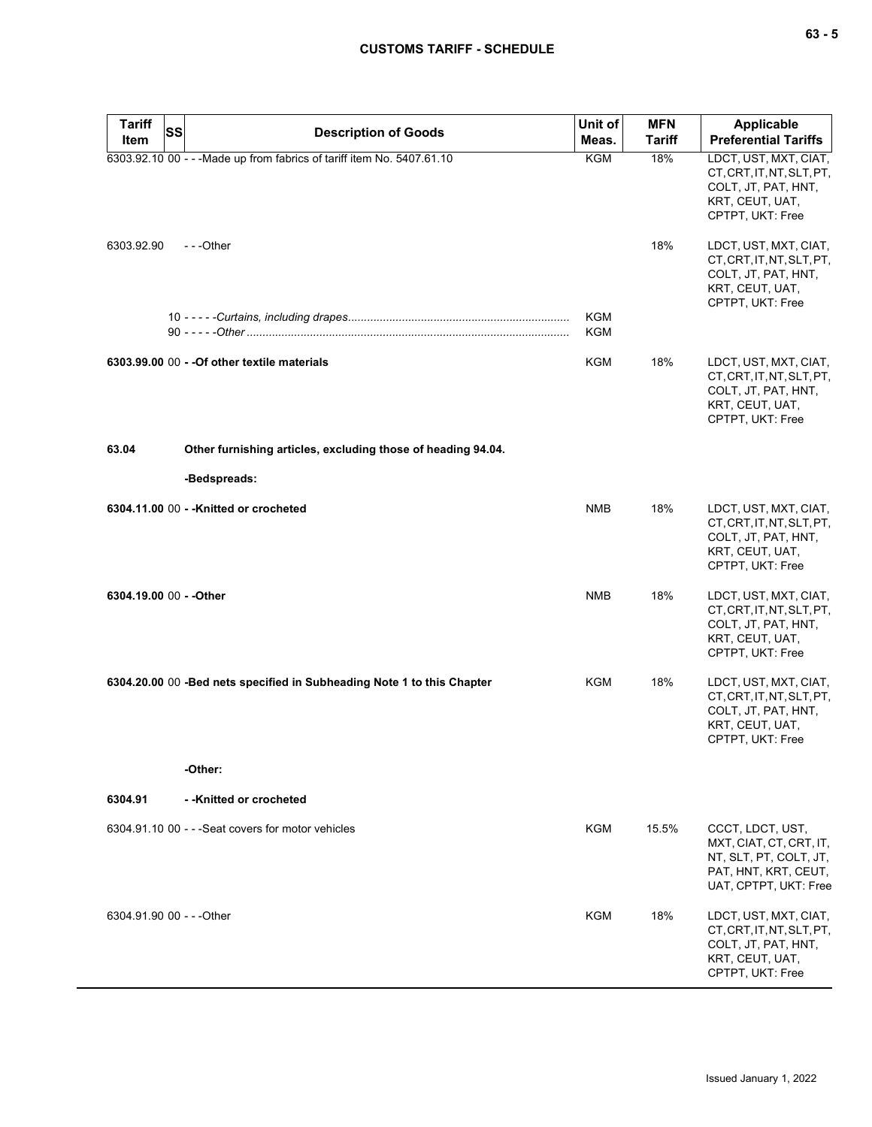| <b>Tariff</b><br><b>SS</b> | <b>Description of Goods</b>                                             | Unit of           | <b>MFN</b>    | Applicable                                                                                                             |
|----------------------------|-------------------------------------------------------------------------|-------------------|---------------|------------------------------------------------------------------------------------------------------------------------|
| Item                       |                                                                         | Meas.             | <b>Tariff</b> | <b>Preferential Tariffs</b>                                                                                            |
|                            | 6303.92.10 00 - - - Made up from fabrics of tariff item No. 5407.61.10  | <b>KGM</b>        | 18%           | LDCT, UST, MXT, CIAT,<br>CT, CRT, IT, NT, SLT, PT,<br>COLT, JT, PAT, HNT,<br>KRT, CEUT, UAT,<br>CPTPT, UKT: Free       |
| 6303.92.90                 | $-$ - -Other                                                            |                   | 18%           | LDCT, UST, MXT, CIAT,<br>CT, CRT, IT, NT, SLT, PT,<br>COLT, JT, PAT, HNT,<br>KRT, CEUT, UAT,<br>CPTPT, UKT: Free       |
|                            |                                                                         | <b>KGM</b><br>KGM |               |                                                                                                                        |
|                            | 6303.99.00 00 - - Of other textile materials                            | KGM               | 18%           | LDCT, UST, MXT, CIAT,<br>CT, CRT, IT, NT, SLT, PT,<br>COLT, JT, PAT, HNT,<br>KRT, CEUT, UAT,<br>CPTPT, UKT: Free       |
| 63.04                      | Other furnishing articles, excluding those of heading 94.04.            |                   |               |                                                                                                                        |
|                            | -Bedspreads:                                                            |                   |               |                                                                                                                        |
|                            | 6304.11.00 00 - - Knitted or crocheted                                  | <b>NMB</b>        | 18%           | LDCT, UST, MXT, CIAT,<br>CT, CRT, IT, NT, SLT, PT,<br>COLT, JT, PAT, HNT,<br>KRT, CEUT, UAT,<br>CPTPT, UKT: Free       |
| 6304.19.00 00 - - Other    |                                                                         | <b>NMB</b>        | 18%           | LDCT, UST, MXT, CIAT,<br>CT, CRT, IT, NT, SLT, PT,<br>COLT, JT, PAT, HNT,<br>KRT, CEUT, UAT,<br>CPTPT, UKT: Free       |
|                            | 6304.20.00 00 - Bed nets specified in Subheading Note 1 to this Chapter | KGM               | 18%           | LDCT, UST, MXT, CIAT,<br>CT, CRT, IT, NT, SLT, PT,<br>COLT, JT, PAT, HNT,<br>KRT, CEUT, UAT,<br>CPTPT, UKT: Free       |
|                            | -Other:                                                                 |                   |               |                                                                                                                        |
| 6304.91                    | --Knitted or crocheted                                                  |                   |               |                                                                                                                        |
|                            | 6304.91.10 00 - - - Seat covers for motor vehicles                      | KGM               | 15.5%         | CCCT, LDCT, UST,<br>MXT, CIAT, CT, CRT, IT,<br>NT, SLT, PT, COLT, JT,<br>PAT, HNT, KRT, CEUT,<br>UAT, CPTPT, UKT: Free |
| 6304.91.90 00 - - - Other  |                                                                         | KGM               | 18%           | LDCT, UST, MXT, CIAT,<br>CT, CRT, IT, NT, SLT, PT,<br>COLT, JT, PAT, HNT,<br>KRT, CEUT, UAT,<br>CPTPT, UKT: Free       |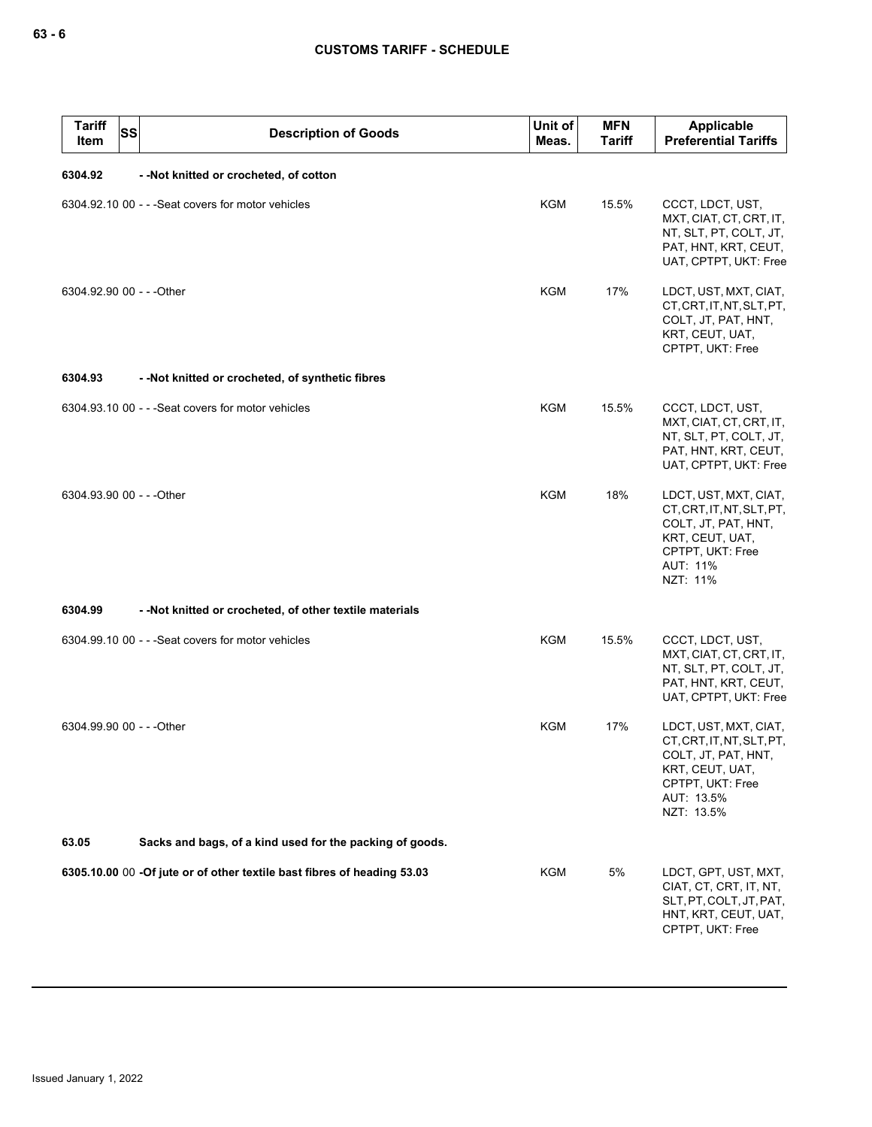| <b>Tariff</b><br>Item     | <b>SS</b> | <b>Description of Goods</b>                                             | Unit of<br>Meas. | <b>MFN</b><br><b>Tariff</b> | Applicable<br><b>Preferential Tariffs</b>                                                                                                    |
|---------------------------|-----------|-------------------------------------------------------------------------|------------------|-----------------------------|----------------------------------------------------------------------------------------------------------------------------------------------|
| 6304.92                   |           | --Not knitted or crocheted, of cotton                                   |                  |                             |                                                                                                                                              |
|                           |           | 6304.92.10 00 - - - Seat covers for motor vehicles                      | KGM              | 15.5%                       | CCCT, LDCT, UST,<br>MXT, CIAT, CT, CRT, IT,<br>NT, SLT, PT, COLT, JT,<br>PAT, HNT, KRT, CEUT,<br>UAT, CPTPT, UKT: Free                       |
| 6304.92.90 00 - - - Other |           |                                                                         | <b>KGM</b>       | 17%                         | LDCT, UST, MXT, CIAT,<br>CT, CRT, IT, NT, SLT, PT,<br>COLT, JT, PAT, HNT,<br>KRT, CEUT, UAT,<br>CPTPT, UKT: Free                             |
| 6304.93                   |           | --Not knitted or crocheted, of synthetic fibres                         |                  |                             |                                                                                                                                              |
|                           |           | 6304.93.10 00 - - - Seat covers for motor vehicles                      | <b>KGM</b>       | 15.5%                       | CCCT, LDCT, UST,<br>MXT, CIAT, CT, CRT, IT,<br>NT, SLT, PT, COLT, JT,<br>PAT, HNT, KRT, CEUT,<br>UAT, CPTPT, UKT: Free                       |
| 6304.93.90 00 - - - Other |           |                                                                         | KGM              | 18%                         | LDCT, UST, MXT, CIAT,<br>CT, CRT, IT, NT, SLT, PT,<br>COLT, JT, PAT, HNT,<br>KRT, CEUT, UAT,<br>CPTPT, UKT: Free<br>AUT: 11%<br>NZT: 11%     |
| 6304.99                   |           | - - Not knitted or crocheted, of other textile materials                |                  |                             |                                                                                                                                              |
|                           |           | 6304.99.10 00 - - - Seat covers for motor vehicles                      | KGM              | 15.5%                       | CCCT, LDCT, UST,<br>MXT, CIAT, CT, CRT, IT,<br>NT, SLT, PT, COLT, JT,<br>PAT, HNT, KRT, CEUT,<br>UAT, CPTPT, UKT: Free                       |
| 6304.99.90 00 - - - Other |           |                                                                         | <b>KGM</b>       | 17%                         | LDCT, UST, MXT, CIAT,<br>CT, CRT, IT, NT, SLT, PT,<br>COLT, JT, PAT, HNT,<br>KRT, CEUT, UAT,<br>CPTPT, UKT: Free<br>AUT: 13.5%<br>NZT: 13.5% |
| 63.05                     |           | Sacks and bags, of a kind used for the packing of goods.                |                  |                             |                                                                                                                                              |
|                           |           | 6305.10.00 00 -Of jute or of other textile bast fibres of heading 53.03 | KGM              | 5%                          | LDCT, GPT, UST, MXT,<br>CIAT, CT, CRT, IT, NT,<br>SLT, PT, COLT, JT, PAT,<br>HNT, KRT, CEUT, UAT,<br>CPTPT, UKT: Free                        |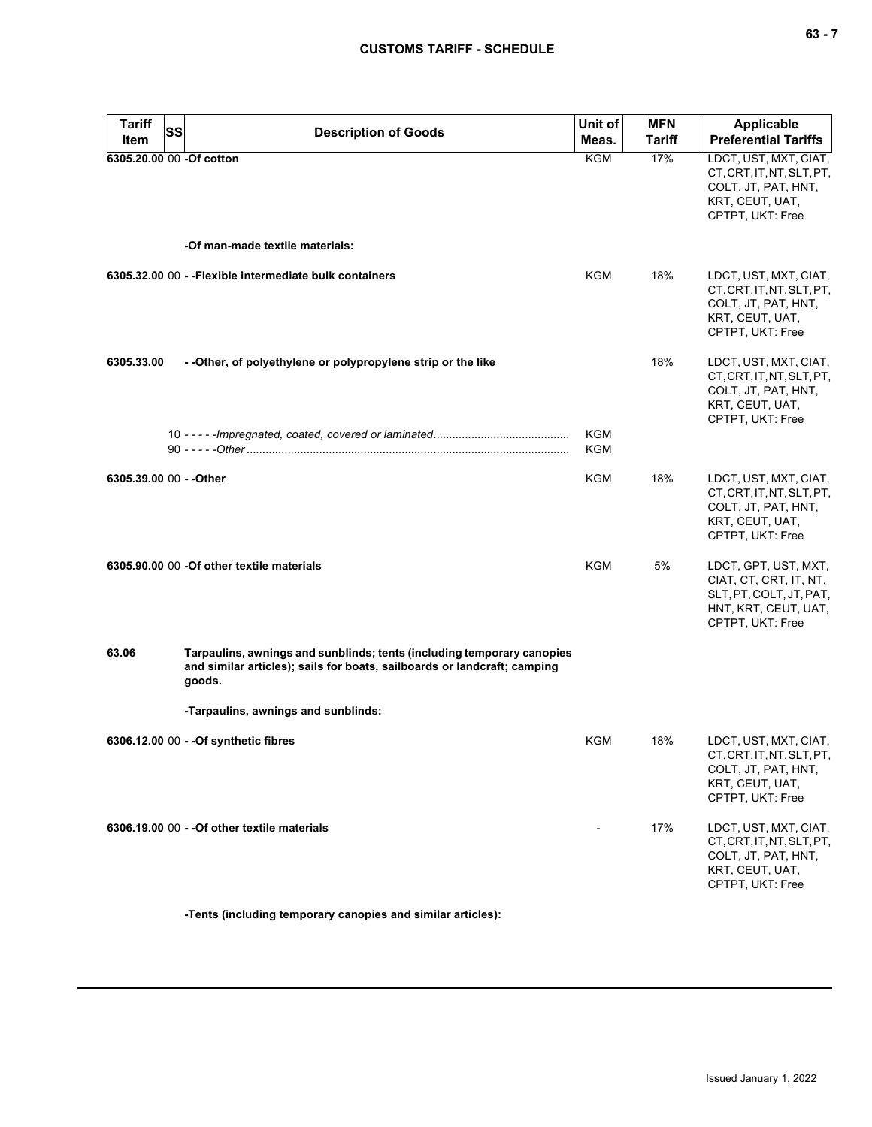| <b>Tariff</b><br>Item    | SS | <b>Description of Goods</b>                                                                                                                                  | Unit of<br>Meas. | <b>MFN</b><br><b>Tariff</b> | <b>Applicable</b><br><b>Preferential Tariffs</b>                                                                      |
|--------------------------|----|--------------------------------------------------------------------------------------------------------------------------------------------------------------|------------------|-----------------------------|-----------------------------------------------------------------------------------------------------------------------|
| 6305.20.00 00 -Of cotton |    |                                                                                                                                                              | KGM              | 17%                         | LDCT, UST, MXT, CIAT,<br>CT, CRT, IT, NT, SLT, PT,<br>COLT, JT, PAT, HNT,<br>KRT, CEUT, UAT,<br>CPTPT, UKT: Free      |
|                          |    | -Of man-made textile materials:                                                                                                                              |                  |                             |                                                                                                                       |
|                          |    | 6305.32.00 00 - - Flexible intermediate bulk containers                                                                                                      | KGM              | 18%                         | LDCT, UST, MXT, CIAT,<br>CT, CRT, IT, NT, SLT, PT,<br>COLT, JT, PAT, HNT,<br>KRT, CEUT, UAT,<br>CPTPT, UKT: Free      |
| 6305.33.00               |    | - - Other, of polyethylene or polypropylene strip or the like                                                                                                |                  | 18%                         | LDCT, UST, MXT, CIAT,<br>CT, CRT, IT, NT, SLT, PT,<br>COLT, JT, PAT, HNT,<br>KRT, CEUT, UAT,<br>CPTPT, UKT: Free      |
|                          |    |                                                                                                                                                              | KGM<br>KGM       |                             |                                                                                                                       |
| 6305.39.00 00 - - Other  |    |                                                                                                                                                              | KGM              | 18%                         | LDCT, UST, MXT, CIAT,<br>CT, CRT, IT, NT, SLT, PT,<br>COLT, JT, PAT, HNT,<br>KRT, CEUT, UAT,<br>CPTPT, UKT: Free      |
|                          |    | 6305.90.00 00 -Of other textile materials                                                                                                                    | <b>KGM</b>       | 5%                          | LDCT, GPT, UST, MXT,<br>CIAT, CT, CRT, IT, NT,<br>SLT, PT, COLT, JT, PAT,<br>HNT, KRT, CEUT, UAT,<br>CPTPT, UKT: Free |
| 63.06                    |    | Tarpaulins, awnings and sunblinds; tents (including temporary canopies<br>and similar articles); sails for boats, sailboards or landcraft; camping<br>goods. |                  |                             |                                                                                                                       |
|                          |    | -Tarpaulins, awnings and sunblinds:                                                                                                                          |                  |                             |                                                                                                                       |
|                          |    | 6306.12.00 00 - - Of synthetic fibres                                                                                                                        | <b>KGM</b>       | 18%                         | LDCT, UST, MXT, CIAT,<br>CT, CRT, IT, NT, SLT, PT,<br>COLT, JT, PAT, HNT,<br>KRT, CEUT, UAT,<br>CPTPT, UKT: Free      |
|                          |    | 6306.19.00 00 - - Of other textile materials                                                                                                                 |                  | 17%                         | LDCT, UST, MXT, CIAT,<br>CT, CRT, IT, NT, SLT, PT,<br>COLT, JT, PAT, HNT,<br>KRT, CEUT, UAT,<br>CPTPT, UKT: Free      |

**-Tents (including temporary canopies and similar articles):**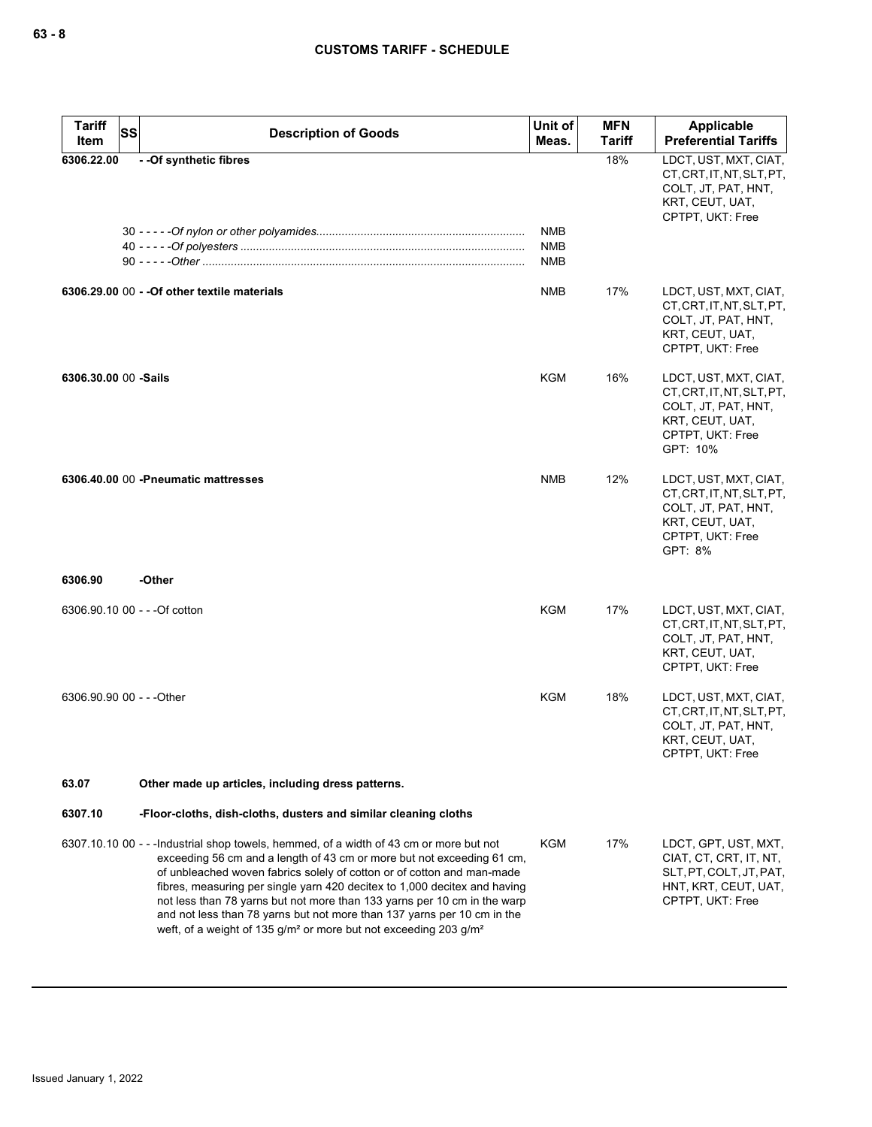| <b>Tariff</b><br>Item         | <b>SS</b> | <b>Description of Goods</b>                                                                                                                                                                                                                                                                                                                                                                                                                                                                                                                                                 | Unit of<br>Meas.  | <b>MFN</b><br><b>Tariff</b> | Applicable<br><b>Preferential Tariffs</b>                                                                                    |
|-------------------------------|-----------|-----------------------------------------------------------------------------------------------------------------------------------------------------------------------------------------------------------------------------------------------------------------------------------------------------------------------------------------------------------------------------------------------------------------------------------------------------------------------------------------------------------------------------------------------------------------------------|-------------------|-----------------------------|------------------------------------------------------------------------------------------------------------------------------|
| 6306.22.00                    |           | - - Of synthetic fibres                                                                                                                                                                                                                                                                                                                                                                                                                                                                                                                                                     | NMB               | 18%                         | LDCT, UST, MXT, CIAT,<br>CT, CRT, IT, NT, SLT, PT,<br>COLT, JT, PAT, HNT,<br>KRT, CEUT, UAT,<br>CPTPT, UKT: Free             |
|                               |           |                                                                                                                                                                                                                                                                                                                                                                                                                                                                                                                                                                             | <b>NMB</b><br>NMB |                             |                                                                                                                              |
|                               |           | 6306.29.00 00 - - Of other textile materials                                                                                                                                                                                                                                                                                                                                                                                                                                                                                                                                | NMB               | 17%                         | LDCT, UST, MXT, CIAT,<br>CT, CRT, IT, NT, SLT, PT,<br>COLT, JT, PAT, HNT,<br>KRT, CEUT, UAT,<br>CPTPT, UKT: Free             |
| 6306.30.00 00 -Sails          |           |                                                                                                                                                                                                                                                                                                                                                                                                                                                                                                                                                                             | KGM               | 16%                         | LDCT, UST, MXT, CIAT,<br>CT, CRT, IT, NT, SLT, PT,<br>COLT, JT, PAT, HNT,<br>KRT, CEUT, UAT,<br>CPTPT, UKT: Free<br>GPT: 10% |
|                               |           | 6306.40.00 00 - Pneumatic mattresses                                                                                                                                                                                                                                                                                                                                                                                                                                                                                                                                        | <b>NMB</b>        | 12%                         | LDCT, UST, MXT, CIAT,<br>CT, CRT, IT, NT, SLT, PT,<br>COLT, JT, PAT, HNT,<br>KRT, CEUT, UAT,<br>CPTPT, UKT: Free<br>GPT: 8%  |
| 6306.90                       |           | -Other                                                                                                                                                                                                                                                                                                                                                                                                                                                                                                                                                                      |                   |                             |                                                                                                                              |
| 6306.90.10 00 - - - Of cotton |           |                                                                                                                                                                                                                                                                                                                                                                                                                                                                                                                                                                             | KGM               | 17%                         | LDCT, UST, MXT, CIAT,<br>CT, CRT, IT, NT, SLT, PT,<br>COLT, JT, PAT, HNT,<br>KRT, CEUT, UAT,<br>CPTPT, UKT: Free             |
| 6306.90.90 00 - - - Other     |           |                                                                                                                                                                                                                                                                                                                                                                                                                                                                                                                                                                             | KGM               | 18%                         | LDCT, UST, MXT, CIAT,<br>CT, CRT, IT, NT, SLT, PT,<br>COLT, JT, PAT, HNT,<br>KRT, CEUT, UAT,<br>CPTPT, UKT: Free             |
| 63.07                         |           | Other made up articles, including dress patterns.                                                                                                                                                                                                                                                                                                                                                                                                                                                                                                                           |                   |                             |                                                                                                                              |
| 6307.10                       |           | -Floor-cloths, dish-cloths, dusters and similar cleaning cloths                                                                                                                                                                                                                                                                                                                                                                                                                                                                                                             |                   |                             |                                                                                                                              |
|                               |           | 6307.10.10 00 - - - Industrial shop towels, hemmed, of a width of 43 cm or more but not<br>exceeding 56 cm and a length of 43 cm or more but not exceeding 61 cm,<br>of unbleached woven fabrics solely of cotton or of cotton and man-made<br>fibres, measuring per single yarn 420 decitex to 1,000 decitex and having<br>not less than 78 yarns but not more than 133 yarns per 10 cm in the warp<br>and not less than 78 yarns but not more than 137 yarns per 10 cm in the<br>weft, of a weight of 135 g/m <sup>2</sup> or more but not exceeding 203 g/m <sup>2</sup> | <b>KGM</b>        | 17%                         | LDCT, GPT, UST, MXT,<br>CIAT, CT, CRT, IT, NT,<br>SLT, PT, COLT, JT, PAT,<br>HNT, KRT, CEUT, UAT,<br>CPTPT, UKT: Free        |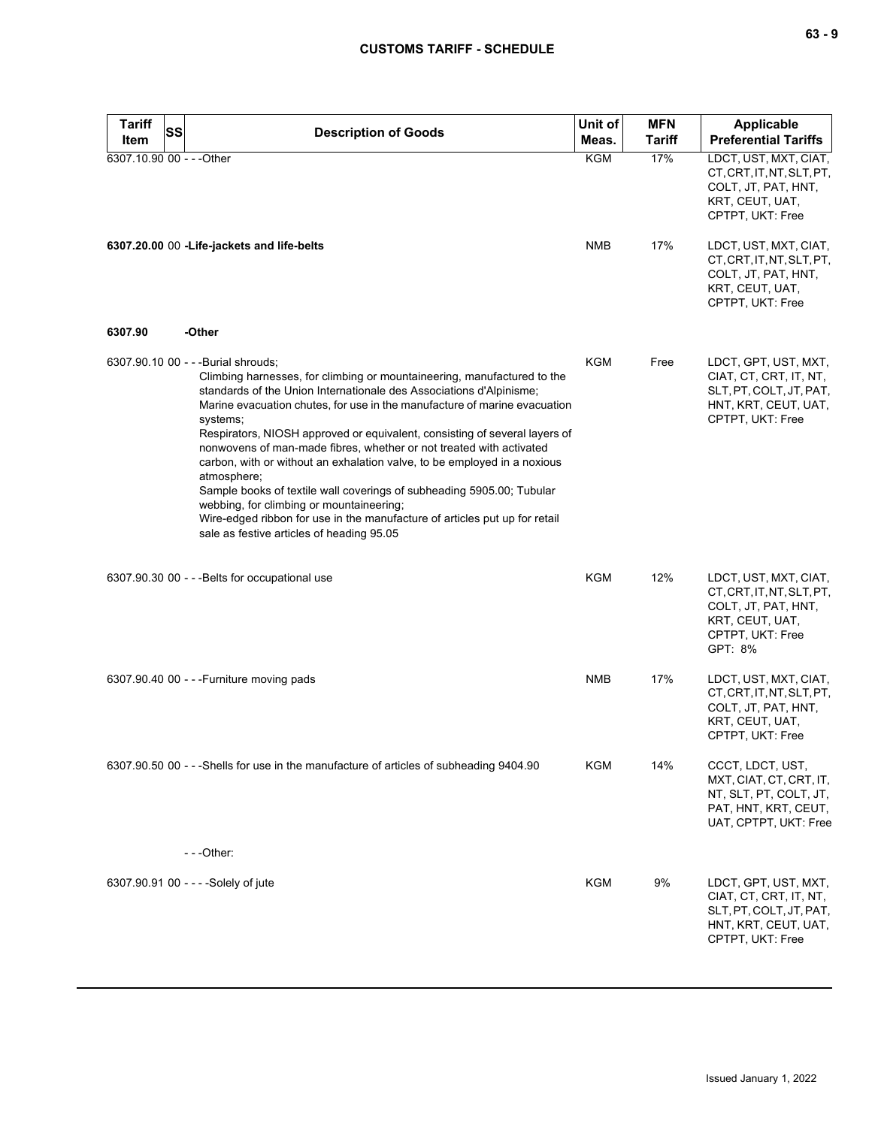| <b>Tariff</b><br><b>SS</b> | <b>Description of Goods</b>                                                                                                                                                                                                                                                                                                                                                                                                                                                                                                                                                                                                                                                                                                                                                    | Unit of    | <b>MFN</b>    | Applicable                                                                                                                  |
|----------------------------|--------------------------------------------------------------------------------------------------------------------------------------------------------------------------------------------------------------------------------------------------------------------------------------------------------------------------------------------------------------------------------------------------------------------------------------------------------------------------------------------------------------------------------------------------------------------------------------------------------------------------------------------------------------------------------------------------------------------------------------------------------------------------------|------------|---------------|-----------------------------------------------------------------------------------------------------------------------------|
| Item                       |                                                                                                                                                                                                                                                                                                                                                                                                                                                                                                                                                                                                                                                                                                                                                                                | Meas.      | <b>Tariff</b> | <b>Preferential Tariffs</b>                                                                                                 |
| 6307.10.90 00 - - - Other  |                                                                                                                                                                                                                                                                                                                                                                                                                                                                                                                                                                                                                                                                                                                                                                                | <b>KGM</b> | 17%           | LDCT, UST, MXT, CIAT,<br>CT, CRT, IT, NT, SLT, PT,<br>COLT, JT, PAT, HNT,<br>KRT, CEUT, UAT,<br>CPTPT, UKT: Free            |
|                            | 6307.20.00 00 -Life-jackets and life-belts                                                                                                                                                                                                                                                                                                                                                                                                                                                                                                                                                                                                                                                                                                                                     | <b>NMB</b> | 17%           | LDCT, UST, MXT, CIAT,<br>CT, CRT, IT, NT, SLT, PT,<br>COLT, JT, PAT, HNT,<br>KRT, CEUT, UAT,<br>CPTPT, UKT: Free            |
| 6307.90                    | -Other                                                                                                                                                                                                                                                                                                                                                                                                                                                                                                                                                                                                                                                                                                                                                                         |            |               |                                                                                                                             |
|                            | 6307.90.10 00 - - - Burial shrouds;<br>Climbing harnesses, for climbing or mountaineering, manufactured to the<br>standards of the Union Internationale des Associations d'Alpinisme;<br>Marine evacuation chutes, for use in the manufacture of marine evacuation<br>systems;<br>Respirators, NIOSH approved or equivalent, consisting of several layers of<br>nonwovens of man-made fibres, whether or not treated with activated<br>carbon, with or without an exhalation valve, to be employed in a noxious<br>atmosphere;<br>Sample books of textile wall coverings of subheading 5905.00; Tubular<br>webbing, for climbing or mountaineering;<br>Wire-edged ribbon for use in the manufacture of articles put up for retail<br>sale as festive articles of heading 95.05 | KGM        | Free          | LDCT, GPT, UST, MXT,<br>CIAT, CT, CRT, IT, NT,<br>SLT, PT, COLT, JT, PAT,<br>HNT, KRT, CEUT, UAT,<br>CPTPT, UKT: Free       |
|                            | 6307.90.30 00 - - - Belts for occupational use                                                                                                                                                                                                                                                                                                                                                                                                                                                                                                                                                                                                                                                                                                                                 | KGM        | 12%           | LDCT, UST, MXT, CIAT,<br>CT, CRT, IT, NT, SLT, PT,<br>COLT, JT, PAT, HNT,<br>KRT, CEUT, UAT,<br>CPTPT, UKT: Free<br>GPT: 8% |
|                            | 6307.90.40 00 - - - Furniture moving pads                                                                                                                                                                                                                                                                                                                                                                                                                                                                                                                                                                                                                                                                                                                                      | <b>NMB</b> | 17%           | LDCT, UST, MXT, CIAT,<br>CT, CRT, IT, NT, SLT, PT,<br>COLT, JT, PAT, HNT,<br>KRT, CEUT, UAT,<br>CPTPT, UKT: Free            |
|                            | 6307.90.50 00 - - -Shells for use in the manufacture of articles of subheading 9404.90                                                                                                                                                                                                                                                                                                                                                                                                                                                                                                                                                                                                                                                                                         | <b>KGM</b> | 14%           | CCCT, LDCT, UST,<br>MXT, CIAT, CT, CRT, IT,<br>NT, SLT, PT, COLT, JT,<br>PAT, HNT, KRT, CEUT,<br>UAT, CPTPT, UKT: Free      |
|                            | $--Other:$                                                                                                                                                                                                                                                                                                                                                                                                                                                                                                                                                                                                                                                                                                                                                                     |            |               |                                                                                                                             |
|                            | 6307.90.91 00 - - - - Solely of jute                                                                                                                                                                                                                                                                                                                                                                                                                                                                                                                                                                                                                                                                                                                                           | <b>KGM</b> | 9%            | LDCT, GPT, UST, MXT,<br>CIAT, CT, CRT, IT, NT,<br>SLT, PT, COLT, JT, PAT,<br>HNT, KRT, CEUT, UAT,<br>CPTPT, UKT: Free       |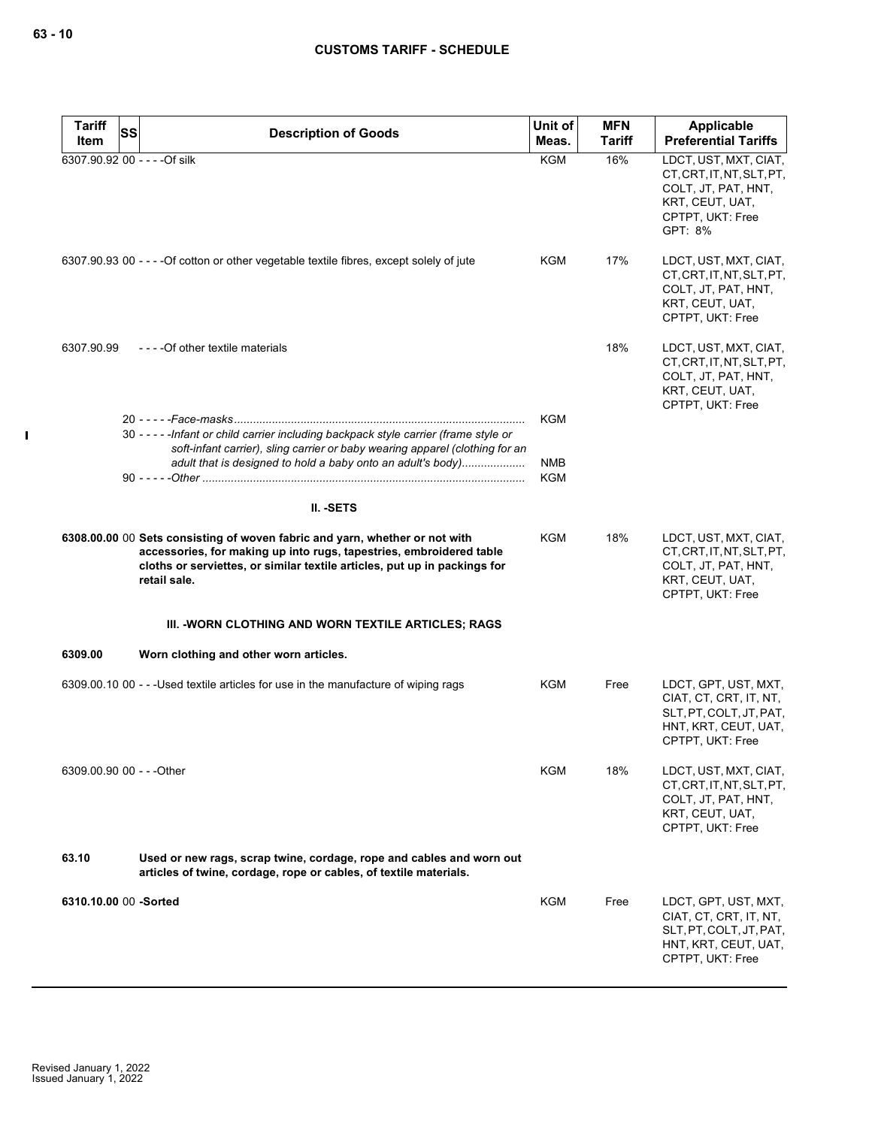$\mathbf I$ 

| <b>Tariff</b>         | SS<br><b>Description of Goods</b>                                                                                                                                                                                                               | Unit of                  | <b>MFN</b>    | Applicable                                                                                                                  |
|-----------------------|-------------------------------------------------------------------------------------------------------------------------------------------------------------------------------------------------------------------------------------------------|--------------------------|---------------|-----------------------------------------------------------------------------------------------------------------------------|
| Item                  |                                                                                                                                                                                                                                                 | Meas.                    | <b>Tariff</b> | <b>Preferential Tariffs</b>                                                                                                 |
|                       | 6307.90.92 00 - - - - Of silk                                                                                                                                                                                                                   | KGM                      | 16%           | LDCT, UST, MXT, CIAT,<br>CT, CRT, IT, NT, SLT, PT,<br>COLT, JT, PAT, HNT,<br>KRT, CEUT, UAT,<br>CPTPT, UKT: Free<br>GPT: 8% |
|                       | 6307.90.93 00 - - - - Of cotton or other vegetable textile fibres, except solely of jute                                                                                                                                                        | KGM                      | 17%           | LDCT, UST, MXT, CIAT,<br>CT, CRT, IT, NT, SLT, PT,<br>COLT, JT, PAT, HNT,<br>KRT, CEUT, UAT,<br>CPTPT, UKT: Free            |
| 6307.90.99            | - - - - Of other textile materials                                                                                                                                                                                                              |                          | 18%           | LDCT, UST, MXT, CIAT,<br>CT, CRT, IT, NT, SLT, PT,<br>COLT, JT, PAT, HNT,<br>KRT, CEUT, UAT,<br>CPTPT, UKT: Free            |
|                       | 30 - - - - - Infant or child carrier including backpack style carrier (frame style or<br>soft-infant carrier), sling carrier or baby wearing apparel (clothing for an                                                                           | <b>KGM</b>               |               |                                                                                                                             |
|                       | adult that is designed to hold a baby onto an adult's body)                                                                                                                                                                                     | <b>NMB</b><br><b>KGM</b> |               |                                                                                                                             |
|                       | II. - SETS                                                                                                                                                                                                                                      |                          |               |                                                                                                                             |
|                       | 6308.00.00 00 Sets consisting of woven fabric and yarn, whether or not with<br>accessories, for making up into rugs, tapestries, embroidered table<br>cloths or serviettes, or similar textile articles, put up in packings for<br>retail sale. | <b>KGM</b>               | 18%           | LDCT, UST, MXT, CIAT,<br>CT, CRT, IT, NT, SLT, PT,<br>COLT, JT, PAT, HNT,<br>KRT, CEUT, UAT,<br>CPTPT, UKT: Free            |
|                       | III. - WORN CLOTHING AND WORN TEXTILE ARTICLES; RAGS                                                                                                                                                                                            |                          |               |                                                                                                                             |
| 6309.00               | Worn clothing and other worn articles.                                                                                                                                                                                                          |                          |               |                                                                                                                             |
|                       | 6309.00.10 00 - - -Used textile articles for use in the manufacture of wiping rags                                                                                                                                                              | <b>KGM</b>               | Free          | LDCT, GPT, UST, MXT,<br>CIAT, CT, CRT, IT, NT,<br>SLT, PT, COLT, JT, PAT,<br>HNT, KRT, CEUT, UAT,<br>CPTPT, UKT: Free       |
|                       | 6309.00.90 00 - - - Other                                                                                                                                                                                                                       | KGM                      | 18%           | LDCT, UST, MXT, CIAT,<br>CT, CRT, IT, NT, SLT, PT,<br>COLT, JT, PAT, HNT,<br>KRT, CEUT, UAT,<br>CPTPT, UKT: Free            |
| 63.10                 | Used or new rags, scrap twine, cordage, rope and cables and worn out<br>articles of twine, cordage, rope or cables, of textile materials.                                                                                                       |                          |               |                                                                                                                             |
| 6310.10.00 00 -Sorted |                                                                                                                                                                                                                                                 | KGM                      | Free          | LDCT, GPT, UST, MXT,<br>CIAT, CT, CRT, IT, NT,<br>SLT, PT, COLT, JT, PAT,<br>HNT, KRT, CEUT, UAT,<br>CPTPT, UKT: Free       |